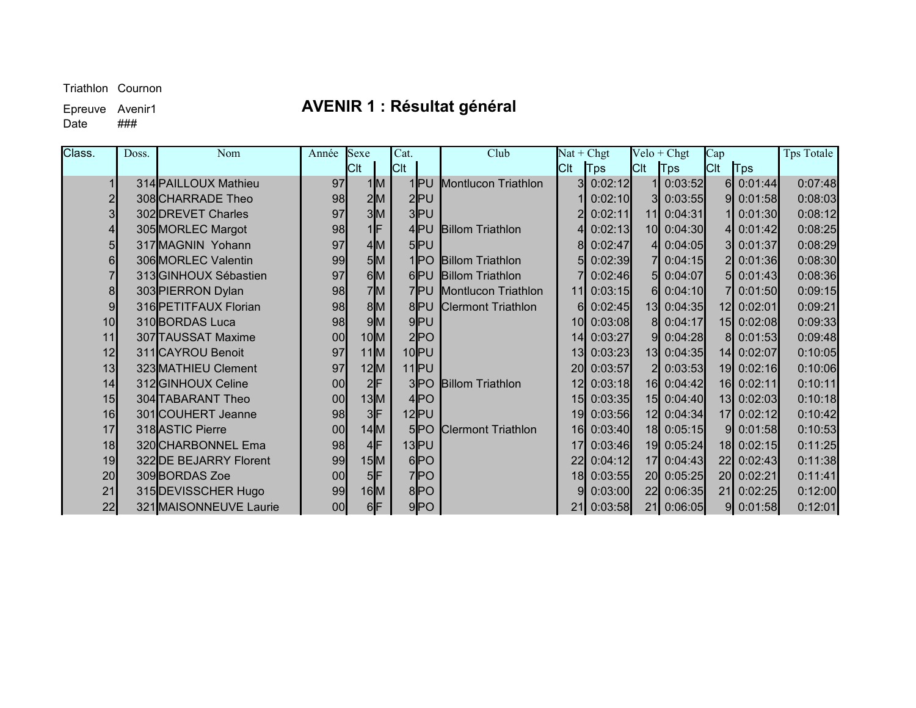$\overline{Date}$ 

# Epreuve Avenir1 **AVENIR 1 : Résultat général**<br>Date ###

| Class.          | Doss. | Nom                    | Année | Sexe   | Cat.            | Club                      |                 | $Nat + Chgt$ |                 | $Velo + Chgt$ | Cap         |             | <b>Tps Totale</b> |
|-----------------|-------|------------------------|-------|--------|-----------------|---------------------------|-----------------|--------------|-----------------|---------------|-------------|-------------|-------------------|
|                 |       |                        |       | Clt    | <b>C</b> lt     |                           | CIt             | Tps          | <b>Cit</b>      | $ T_{PS} $    | <b>C</b> lt | Tps         |                   |
|                 |       | 314 PAILLOUX Mathieu   | 97    | 1 M    |                 | 1PU Montlucon Triathlon   | 31              | 0:02:12      |                 | 0:03:52       |             | $6$ 0:01:44 | 0:07:48           |
| $\overline{2}$  |       | 308 CHARRADE Theo      | 98    | 2M     | $2$ $PU$        |                           |                 | 0:02:10      | 31              | 0:03:55       | 91          | 0:01:58     | 0:08:03           |
| 3 <sup>l</sup>  |       | 302 DREVET Charles     | 97    | з∣м    | 3PU             |                           |                 | 0:02:11      | 11              | 0:04:31       |             | 0:01:30     | 0:08:12           |
| 41              |       | 305 MORLEC Margot      | 98    | 1F     | $4$ PU          | <b>Billom Triathlon</b>   |                 | 0:02:13      |                 | 10 0:04:30    |             | 4 0:01:42   | 0:08:25           |
| 5               |       | 317 MAGNIN Yohann      | 97    | 4M     | $5$ $PU$        |                           |                 | 0:02:47      |                 | 0:04:05       |             | 3 0:01:37   | 0:08:29           |
| 61              |       | 306 MORLEC Valentin    | 99    | 5M     |                 | 1 PO Billom Triathlon     |                 | 0:02:39      |                 | 0:04:15       |             | 2 0:01:36   | 0:08:30           |
|                 |       | 313 GINHOUX Sébastien  | 97    | 6M     |                 | 6PU Billom Triathlon      |                 | 0:02:46      | 5l              | 0:04:07       |             | 5 0:01:43   | 0:08:36           |
| 8               |       | 303 PIERRON Dylan      | 98    | 7M     |                 | 7PU Montlucon Triathlon   | 11              | 0:03:15      | -61             | 0:04:10       |             | 7 0:01:50   | 0:09:15           |
| 9               |       | 316 PETITFAUX Florian  | 98    | 8M     | 8PU             | <b>Clermont Triathlon</b> | 6I              | 0:02:45      |                 | 13 0:04:35    |             | 12 0:02:01  | 0:09:21           |
| 10 <sup>1</sup> |       | 310 BORDAS Luca        | 98    | 9M     | $9$ PU          |                           | 10 <sup>l</sup> | 0:03:08      | -81             | 0:04:17       |             | 15 0:02:08  | 0:09:33           |
| 11              |       | 307 TAUSSAT Maxime     | 00    | $10$ M | 2 PO            |                           | 14              | 0:03:27      | 91              | 0:04:28       |             | 8 0:01:53   | 0:09:48           |
| 12              |       | 311 CAYROU Benoit      | 97    | $11$ M | $10$ $PU$       |                           | 13              | 0:03:23      |                 | 13 0:04:35    |             | 14 0:02:07  | 0:10:05           |
| 13              |       | 323 MATHIEU Clement    | 97    | 12M    | $11$ $PU$       |                           | 20 <sup>l</sup> | 0:03:57      |                 | 0:03:53       |             | 19 0:02:16  | 0:10:06           |
| 14              |       | 312 GINHOUX Celine     | 00    | 2 F    | 3 PO            | <b>Billom Triathlon</b>   | 12              | 0:03:18      |                 | 16 0:04:42    |             | 16 0:02:11  | 0:10:11           |
| 15              |       | 304 TABARANT Theo      | 00    | $13$ M | 4 PO            |                           | 15              | 0:03:35      |                 | 15 0:04:40    |             | 13 0:02:03  | 0:10:18           |
| 16              |       | 301 COUHERT Jeanne     | 98    | 3F     | $12$ $PU$       |                           | 19              | 0:03:56      |                 | 12 0:04:34    |             | 17 0:02:12  | 0:10:42           |
| 17              |       | 318 ASTIC Pierre       | 00    | $14$ M | 5P <sub>0</sub> | <b>Clermont Triathlon</b> | 16 <sup>l</sup> | 0:03:40      |                 | 18 0:05:15    |             | 90:01:58    | 0:10:53           |
| 18              |       | 320 CHARBONNEL Ema     | 98    | $4$ F  | $13$ $PU$       |                           | 17              | 0:03:46      |                 | 19 0:05:24    |             | 18 0:02:15  | 0:11:25           |
| 19              |       | 322 DE BEJARRY Florent | 99    | 15M    | 6 PO            |                           | 22              | 0:04:12      | 17 <sup>1</sup> | 0:04:43       |             | 22 0:02:43  | 0:11:38           |
| 20              |       | 309BORDAS Zoe          | 00    | $5$ F  | 7PO             |                           | 18 <sup>l</sup> | 0:03:55      |                 | 20 0:05:25    |             | 20 0:02:21  | 0:11:41           |
| 21              |       | 315 DEVISSCHER Hugo    | 99    | $16$ M | 8 PO            |                           |                 | 0:03:00      |                 | 22 0:06:35    |             | 21 0:02:25  | 0:12:00           |
| 22              |       | 321 MAISONNEUVE Laurie | 00    | $6$ F  | 9 PO            |                           | 21              | 0:03:58      |                 | 21 0:06:05    |             | $9$ 0:01:58 | 0:12:01           |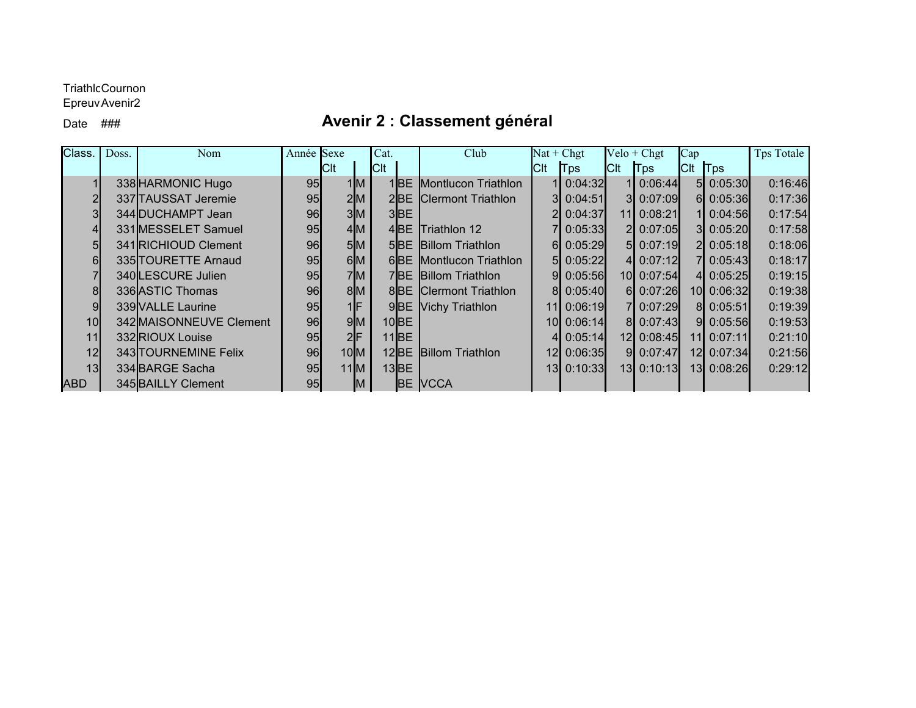#### TriathlcCournon

Epreuv Avenir2

### Date ### **Avenir 2 : Classement général**

| Class.          | Doss. | Nom                     | Année Sexe |             | Cat.    |           | Club                          | $Nat + Chgt$ |             |             | $Velo + Chgt$ | $\log$                            |             | <b>Tps Totale</b> |
|-----------------|-------|-------------------------|------------|-------------|---------|-----------|-------------------------------|--------------|-------------|-------------|---------------|-----------------------------------|-------------|-------------------|
|                 |       |                         |            | <b>ICIt</b> | $ $ Clt |           |                               | CIt   Tps    |             | <b>C</b> lt | $ T_{DS} $    | C <sub>It</sub>   T <sub>ps</sub> |             |                   |
|                 |       | 338 HARMONIC Hugo       | 95         | 1 M         |         |           | 1BE Montlucon Triathlon       | 11           | 0:04:32     |             | 1 0:06:44     |                                   | 5 0:05:30   | 0:16:46           |
|                 |       | 337 TAUSSAT Jeremie     | 95         | 2M          |         |           | 2BE Clermont Triathlon        |              | 3 0:04:51   |             | 3 0:07:09     |                                   | $6$ 0:05:36 | 0:17:36           |
|                 |       | 344 DUCHAMPT Jean       | 96         | 3M          |         | $3$ $BE$  |                               | 21           | 0:04:37     |             | 11 0:08:21    |                                   | 110:04:56   | 0:17:54           |
|                 |       | 331 MESSELET Samuel     | 95         | 4M          |         |           | 4BE Triathlon 12              |              | 0:05:33     |             | 2 0:07:05     |                                   | 3 0:05:20   | 0:17:58           |
| 51              |       | 341 RICHIOUD Clement    | 96         | 5M          |         |           | <b>5BE Billom Triathlon</b>   | 61           | 0:05:29     |             | 5 0:07:19     |                                   | 2 0:05:18   | 0:18:06           |
| 61              |       | 335 TOURETTE Arnaud     | 95         | 6M          |         |           | 6BE Montlucon Triathlon       |              | $5$ 0:05:22 |             | 4 0:07:12     |                                   | 7 0:05:43   | 0:18:17           |
|                 |       | 340LESCURE Julien       | 95         | 7M          |         |           | 7BE Billom Triathlon          |              | 910:05:56   |             | 10 0:07:54    |                                   | 4 0:05:25   | 0:19:15           |
| 81              |       | 336 ASTIC Thomas        | 96         | 8M          |         |           | <b>8BE Clermont Triathlon</b> |              | 8 0:05:40   |             | $6$ 0:07:26   |                                   | 10 0:06:32  | 0:19:38           |
| 9 <sub>l</sub>  |       | 339 VALLE Laurine       | 95         | $1$ F       |         |           | 9BE Vichy Triathlon           |              | 11 0:06:19  |             | 7 0:07:29     |                                   | 8 0:05:51   | 0:19:39           |
| 10 <sup>l</sup> |       | 342 MAISONNEUVE Clement | 96         | 9M          |         | $10$ BE   |                               |              | 10 0:06:14  |             | 8 0:07:43     |                                   | 910:05:56   | 0:19:53           |
| 11              |       | 332RIOUX Louise         | 95         | 2 F         |         | $11$ BE   |                               |              | 0:05:14     |             | 12 0:08:45    |                                   | 11 0:07:11  | 0:21:10           |
| 12 <sup>l</sup> |       | 343 TOURNEMINE Felix    | 96         | $10$ M      |         |           | 12BE Billom Triathlon         |              | 12 0:06:35  |             | 90:07:47      |                                   | 12 0:07:34  | 0:21:56           |
| 13 <sub>l</sub> |       | 334 BARGE Sacha         | 95         | $11$ M      |         | $13$ $BE$ |                               |              | 13 0:10:33  |             | 13 0:10:13    |                                   | 13 0:08:26  | 0:29:12           |
| <b>ABD</b>      |       | 345 BAILLY Clement      | 95         | IM          |         |           | <b>BE VCCA</b>                |              |             |             |               |                                   |             |                   |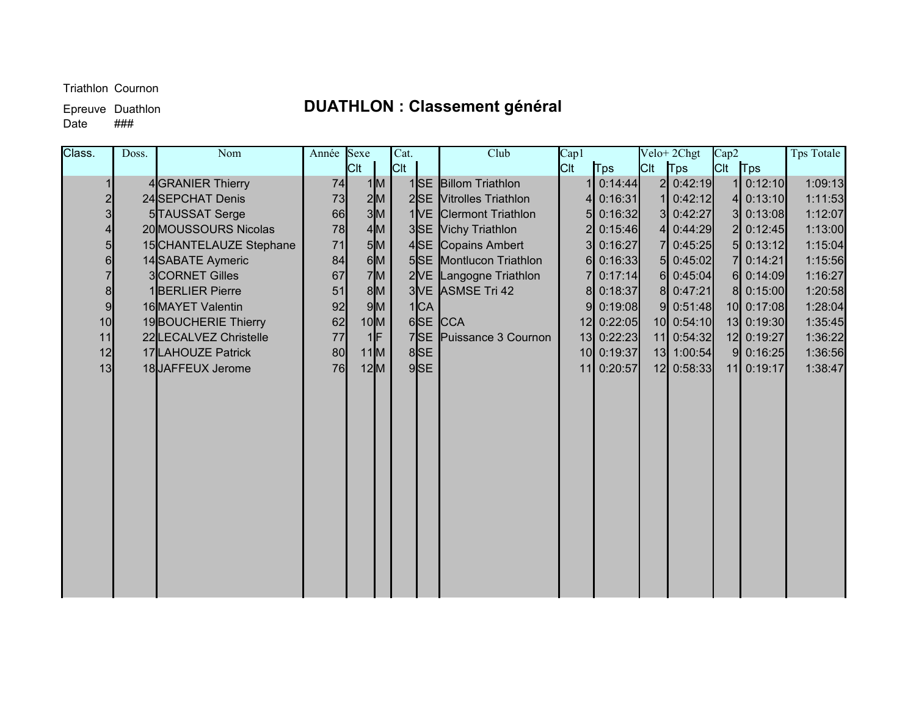# Epreuve Duathlon **DUATHLON : Classement général**

 $\overline{$ } Date

| Class. | Doss. | Nom                     | Année Sexe |             | Cat.       | Club                    | Cap1    |             |             | Velo+2Chgt  | Cap2        |             | Tps Totale |
|--------|-------|-------------------------|------------|-------------|------------|-------------------------|---------|-------------|-------------|-------------|-------------|-------------|------------|
|        |       |                         |            | <b>C</b> lt | <b>Cit</b> |                         | $ $ Clt | <b>Tps</b>  | <b>C</b> lt | Tps         | $Clt$   Tps |             |            |
|        |       | 4 GRANIER Thierry       | 74         | 1 M         |            | 1SE Billom Triathlon    |         | 0:14:44     |             | 2 0:42:19   |             | $1$ 0:12:10 | 1:09:13    |
|        |       | 24 SEPCHAT Denis        | 73         | 2 M         |            | 2SE Vitrolles Triathlon |         | 0:16:31     |             | 0:42:12     |             | 4 $0:13:10$ | 1:11:53    |
| 3      |       | 5TAUSSAT Serge          | 66         | 3 M         |            | 1VE Clermont Triathlon  |         | 5 0:16:32   |             | 3 0:42:27   |             | 3 0:13:08   | 1:12:07    |
| 4      |       | 20 MOUSSOURS Nicolas    | 78         | 4M          |            | 3SE Vichy Triathlon     |         | 0:15:46     |             | 0:44:29     |             | 2 0:12:45   | 1:13:00    |
| 5      |       | 15 CHANTELAUZE Stephane | 71         | 5M          |            | 4SE Copains Ambert      | 31      | 0:16:27     | 71          | 0:45:25     |             | $5$ 0:13:12 | 1:15:04    |
| 6      |       | 14 SABATE Aymeric       | 84         | 6M          |            | 5SE Montlucon Triathlon |         | $6$ 0:16:33 |             | $5$ 0:45:02 |             | 7 0:14:21   | 1:15:56    |
|        |       | 3CORNET Gilles          | 67         | 7M          |            | 2VE Langogne Triathlon  |         | 0:17:14     |             | $6$ 0:45:04 |             | 6 0:14:09   | 1:16:27    |
| 8      |       | 1 <b>BERLIER Pierre</b> | 51         | 8M          |            | 3 VE ASMSE Tri 42       | 81      | 0:18:37     |             | 8 0:47:21   |             | 8 0:15:00   | 1:20:58    |
| 9      |       | 16 MAYET Valentin       | 92         | 9M          | 1 CA       |                         |         | $9$ 0:19:08 |             | $9$ 0:51:48 |             | 10 0:17:08  | 1:28:04    |
| 10     |       | 19BOUCHERIE Thierry     | 62         | 10 M        |            | 6SE CCA                 |         | 12 0:22:05  |             | 10 0:54:10  |             | 13 0:19:30  | 1:35:45    |
| 11     |       | 22 LECALVEZ Christelle  | 77         | $1$ F       |            | 7SE Puissance 3 Cournon |         | 13 0:22:23  |             | 11 0:54:32  |             | 12 0:19:27  | 1:36:22    |
| 12     |       | 17LAHOUZE Patrick       | 80         | $11$ M      | 8SE        |                         |         | 10 0:19:37  | 13          | 1:00:54     |             | $9$ 0:16:25 | 1:36:56    |
| 13     |       | 18JAFFEUX Jerome        | <b>76</b>  | 12M         | $9$ SE     |                         |         | 11 0:20:57  |             | 12 0:58:33  |             | 11 0:19:17  | 1:38:47    |
|        |       |                         |            |             |            |                         |         |             |             |             |             |             |            |
|        |       |                         |            |             |            |                         |         |             |             |             |             |             |            |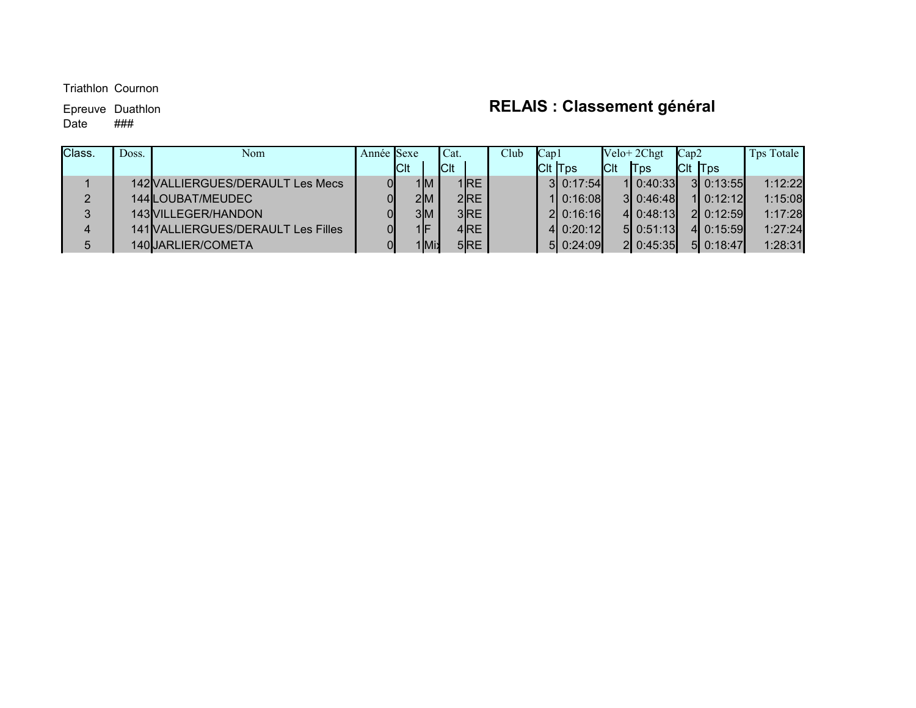#### $\overline{$ } Date

# Epreuve Duathlon **RELAIS : Classement général**

| Class. | Doss. | Nom                                 | Année Sexe |            |                        | Cat.        |                 | Club | Cap1 |                 |             | $Velo + 2Chgt$ | Cap2 |                | Tps Totale |
|--------|-------|-------------------------------------|------------|------------|------------------------|-------------|-----------------|------|------|-----------------|-------------|----------------|------|----------------|------------|
|        |       |                                     |            | <b>CIt</b> |                        | <b>C</b> lt |                 |      |      | <b>C</b> lt Tps | <b>ICIt</b> | <b>Tps</b>     |      | <b>CIt Tps</b> |            |
|        |       | 142 VALLIERGUES/DERAULT Les Mecs    |            |            | 1M                     |             | 1 <b>IRE</b>    |      |      | 310:17:54       |             | 110:40:33      |      | 310:13:55      | 1:12:22    |
| 2      |       | 144 LOUBAT/MEUDEC                   |            |            | 2M                     |             | 2R <sub>E</sub> |      |      | 110:16:08       |             | 310:46:48      |      | 110:12:12      | 1:15:08    |
| 3      |       | 143 VILLEGER/HANDON                 |            |            | 3M                     |             | 3R <sub>E</sub> |      |      | 210:16:16       |             | 4 0:48:13      |      | 2 0:12:59      | 1:17:28    |
| 4      |       | 141 VALLIER GUES/DERAULT Les Filles |            |            | $\mathsf{1}\mathsf{F}$ |             | 4RE             |      |      | $4$ 0:20:12     |             | 510:51:13      |      | 4 0:15:59      | 1:27:24    |
| 5      |       | 140JJARLIER/COMETA                  |            |            | 1Mi.                   |             | $5$ RE          |      |      | 5 0:24:09       |             | 2 0:45:35      |      | 5 0:18:47      | 1:28:31    |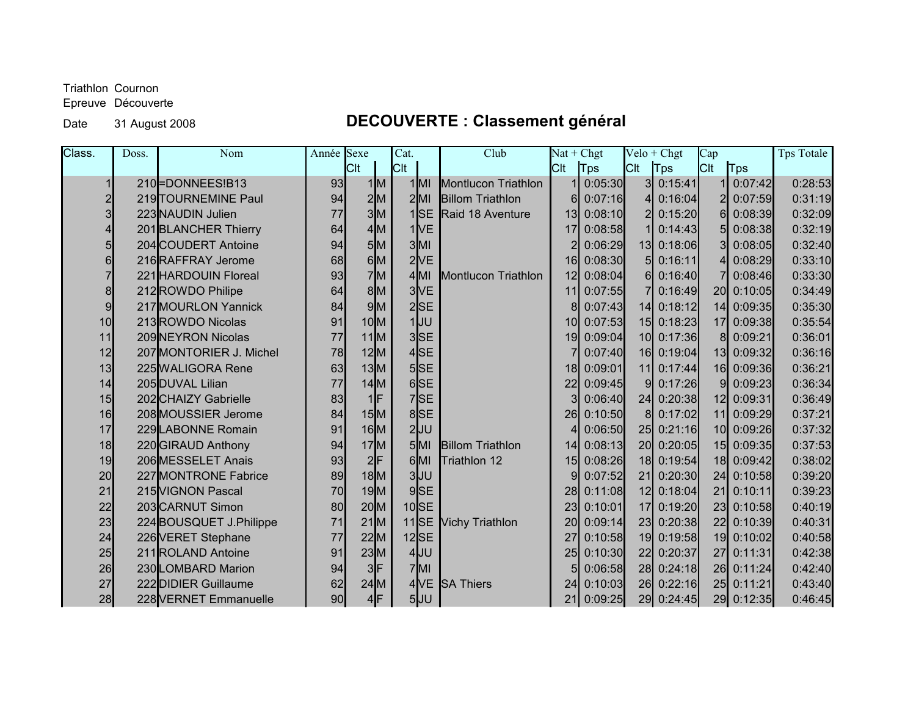Epreuve Découverte

### Date 31 August 2008 **DECOUVERTE : Classement général**

| Class.   | Doss. | Nom                     | Année Sexe | Cat.                                 |                  | Club                    | $\overline{\text{Nat} + \text{Chgt}}$ |         |                 | $Velo + Chgt$ | Cap             |            | Tps Totale |
|----------|-------|-------------------------|------------|--------------------------------------|------------------|-------------------------|---------------------------------------|---------|-----------------|---------------|-----------------|------------|------------|
|          |       |                         |            | Clt                                  | ICIt             |                         | Clt                                   | Tps     | <b>C</b> It     | <b>T</b> ps   | <b>C</b> lt     | Tps        |            |
|          |       | 210-DONNEES!B13         | 93         | 1M                                   | $1$ MI           | Montlucon Triathlon     |                                       | 0:05:30 | 3 <sup>l</sup>  | 0:15:41       |                 | 0:07:42    | 0:28:53    |
|          |       | 219 TOURNEMINE Paul     | 94         | 2 M                                  | $2$ MI           | <b>Billom Triathlon</b> | 6                                     | 0:07:16 | 4 <sup>1</sup>  | 0:16:04       |                 | 0:07:59    | 0:31:19    |
|          |       | 223 NAUDIN Julien       | 77         | 3M                                   | 1 <sub>SE</sub>  | Raid 18 Aventure        | 13                                    | 0:08:10 | $\overline{2}$  | 0:15:20       | 61              | 0:08:39    | 0:32:09    |
|          |       | 201BLANCHER Thierry     | 64         | 4M                                   | 1 <sub>NE</sub>  |                         | 17                                    | 0:08:58 |                 | 0:14:43       | 51              | 0:08:38    | 0:32:19    |
| 5        |       | 204 COUDERT Antoine     | 94         | 5M                                   | $3$ MI           |                         |                                       | 0:06:29 |                 | 13 0:18:06    |                 | 0:08:05    | 0:32:40    |
| $6 \mid$ |       | 216RAFFRAY Jerome       | 68         | 6M                                   | 2VE              |                         | 16                                    | 0:08:30 | 5 <sub>l</sub>  | 0:16:11       | 4               | 0:08:29    | 0:33:10    |
|          |       | 221 HARDOUIN Floreal    | 93         | 7M                                   | $4$ MI           | Montlucon Triathlon     | 12                                    | 0:08:04 | 6I              | 0:16:40       |                 | 0:08:46    | 0:33:30    |
| 8        |       | 212 ROWDO Philipe       | 64         | 8M                                   | 3 <sub>IVE</sub> |                         | 11                                    | 0:07:55 |                 | 0:16:49       | <b>20</b>       | 0:10:05    | 0:34:49    |
| 9        |       | 217 MOURLON Yannick     | 84         | 9M                                   | 2 <sub>SE</sub>  |                         |                                       | 0:07:43 | 14              | 0:18:12       | 14              | 0:09:35    | 0:35:30    |
| 10       |       | 213ROWDO Nicolas        | 91         | 10 <sub>IM</sub>                     | $1$ UU           |                         | 10 <sub>l</sub>                       | 0:07:53 | 15              | 0:18:23       | 17 <sup>1</sup> | 0:09:38    | 0:35:54    |
| 11       |       | 209 NEYRON Nicolas      | 77         | 11M                                  | 3SE              |                         | 19 <sup>l</sup>                       | 0:09:04 |                 | 10 0:17:36    | 8 <sup>l</sup>  | 0:09:21    | 0:36:01    |
| 12       |       | 207 MONTORIER J. Michel | 78         | 12M                                  | 4SE              |                         |                                       | 0:07:40 |                 | 16 0:19:04    |                 | 13 0:09:32 | 0:36:16    |
| 13       |       | 225 WALIGORA Rene       | 63         | 13M                                  | $5$ SE           |                         | 18                                    | 0:09:01 | 11              | 0:17:44       | 16 <sup>l</sup> | 0:09:36    | 0:36:21    |
| 14       |       | 205DUVAL Lilian         | 77         | $14$ M                               | $6$ SE           |                         | 22                                    | 0:09:45 | 91              | 0:17:26       | 9               | 0:09:23    | 0:36:34    |
| 15       |       | 202 CHAIZY Gabrielle    | 83         | $1$ <sup><math>\text{F}</math></sup> | 7SE              |                         |                                       | 0:06:40 |                 | 24 0:20:38    | 12 <sup>1</sup> | 0:09:31    | 0:36:49    |
| 16       |       | 208 MOUSSIER Jerome     | 84         | 15M                                  | 8SE              |                         | 26                                    | 0:10:50 | 8 <sup>l</sup>  | 0:17:02       | 11              | 0:09:29    | 0:37:21    |
| 17       |       | 229 LABONNE Romain      | 91         | $16$ M                               | $2$ UU           |                         |                                       | 0:06:50 | 25              | 0:21:16       | 10 <sup>l</sup> | 0:09:26    | 0:37:32    |
| 18       |       | 220 GIRAUD Anthony      | 94         | 17M                                  | $5$ MI           | <b>Billom Triathlon</b> | 14                                    | 0:08:13 |                 | 20 0:20:05    | 15              | 0:09:35    | 0:37:53    |
| 19       |       | 206 MESSELET Anais      | 93         | 2 F                                  | $6$ MI           | Triathlon 12            | 15 <sub>l</sub>                       | 0:08:26 |                 | 18 0:19:54    | 18 <sup>l</sup> | 0:09:42    | 0:38:02    |
| 20       |       | 227 MONTRONE Fabrice    | 89         | $18$ M                               | 3JU              |                         | 9                                     | 0:07:52 | 21              | 0:20:30       | 24              | 0:10:58    | 0:39:20    |
| 21       |       | 215 VIGNON Pascal       | 70         | 19M                                  | $9$ SE           |                         | 28                                    | 0:11:08 |                 | 12 0:18:04    | 21              | 0:10:11    | 0:39:23    |
| 22       |       | 203CARNUT Simon         | 80         | $20$ M                               | $10$ SE          |                         | 23                                    | 0:10:01 | 17 <sup>1</sup> | 0:19:20       | 23              | 0:10:58    | 0:40:19    |
| 23       |       | 224BOUSQUET J.Philippe  | 71         | $21$ M                               | $11$ SE          | <b>Vichy Triathlon</b>  | 20 <sub>l</sub>                       | 0:09:14 |                 | 23 0:20:38    |                 | 22 0:10:39 | 0:40:31    |
| 24       |       | 226 VERET Stephane      | 77         | 22M                                  | $12$ SE          |                         | 27                                    | 0:10:58 |                 | 19 0:19:58    |                 | 19 0:10:02 | 0:40:58    |
| 25       |       | 211 ROLAND Antoine      | 91         | 23M                                  | $4$ UU           |                         | 25                                    | 0:10:30 |                 | 22 0:20:37    | 27              | 0:11:31    | 0:42:38    |
| 26       |       | 230 LOMBARD Marion      | 94         | 3 F                                  | $7$ MI           |                         |                                       | 0:06:58 |                 | 28 0:24:18    | 26              | 0:11:24    | 0:42:40    |
| 27       |       | 222 DIDIER Guillaume    | 62         | $24$ M                               | 4VE              | <b>SA Thiers</b>        | 24                                    | 0:10:03 |                 | 26 0:22:16    |                 | 25 0:11:21 | 0:43:40    |
| 28       |       | 228 VERNET Emmanuelle   | 90         | 4F                                   | $5$ UU           |                         | 21                                    | 0:09:25 |                 | 29 0:24:45    |                 | 29 0:12:35 | 0:46:45    |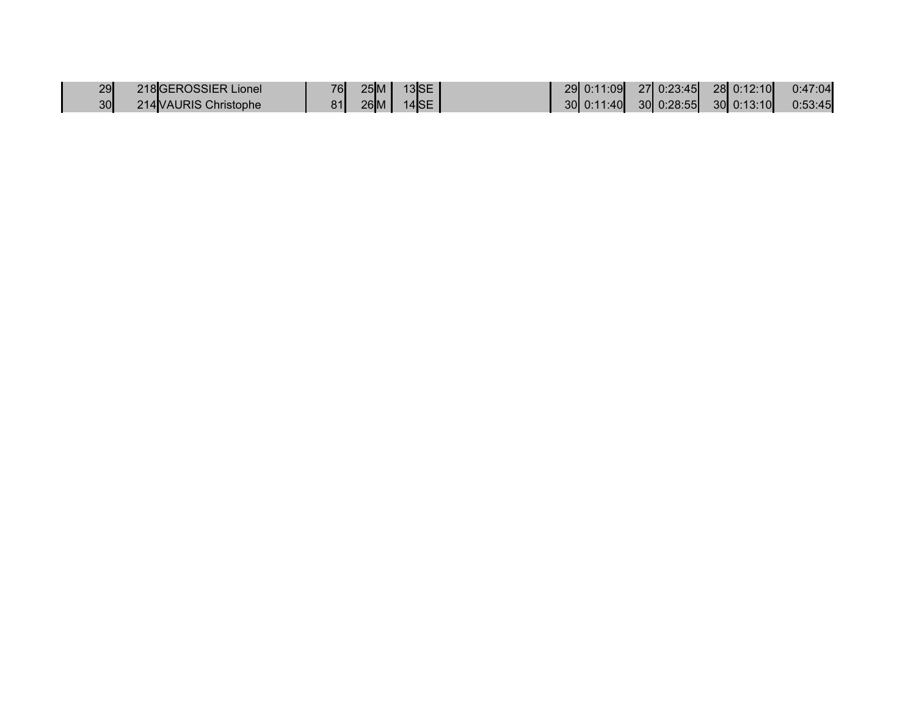| 29I         | 218GEROSSIER Lionel   | 76 <b> </b> | 25M    | $13$ SE | 29 0:11:09 27 0:23:45 28 0:12:10          |  |  | 0:47:04 |
|-------------|-----------------------|-------------|--------|---------|-------------------------------------------|--|--|---------|
| 30 <b> </b> | 214 VAURIS Christophe | 81          | $26$ M | $14$ SE | $30 0:11:40 $ $30 0:28:55 $ $30 0:13:10 $ |  |  | 0:53:45 |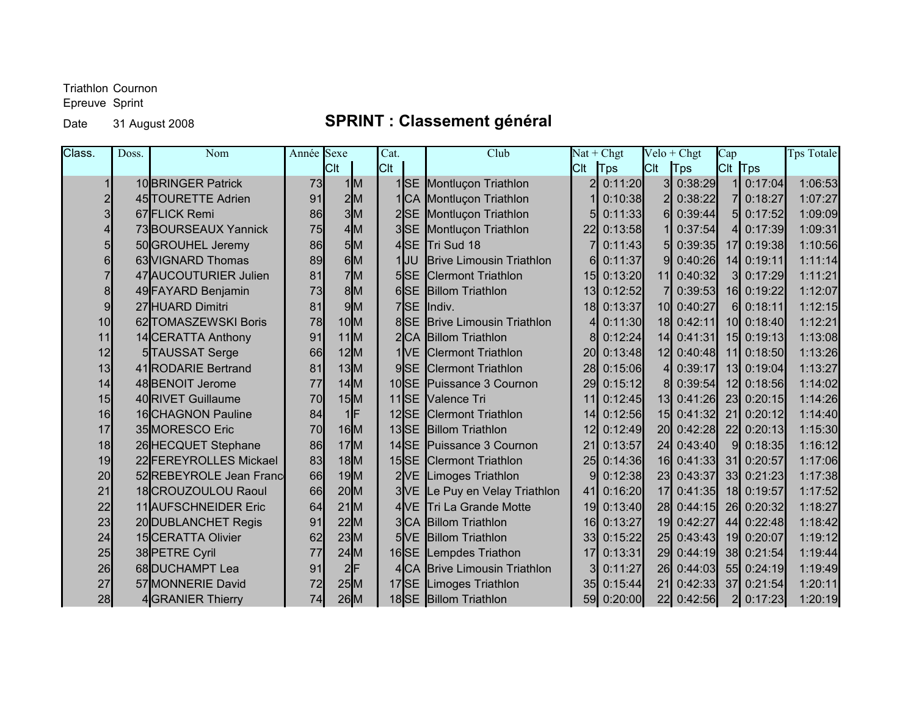Epreuve Sprint

### Date 31 August 2008 **SPRINT : Classement général**

| Class. | Doss. | Nom                       | Année Sexe |            | Cat.             | Club                            |           | $Nat + Chgt$ |                 | $Velo + Chgt$ | Cap            |            | <b>Tps Totale</b> |
|--------|-------|---------------------------|------------|------------|------------------|---------------------------------|-----------|--------------|-----------------|---------------|----------------|------------|-------------------|
|        |       |                           |            | <b>Cit</b> | Cit              |                                 | Clt       | Tps          | <b>C</b> It     | <b>T</b> ps   | CIt Tps        |            |                   |
|        |       | 10 BRINGER Patrick        | 73         | 1M         | $1$ $SE$         | Montluçon Triathlon             |           | 0:11:20      | 31              | 0:38:29       |                | 0:17:04    | 1:06:53           |
|        |       | 45 TOURETTE Adrien        | 91         | 2M         | 1 CA             | Montluçon Triathlon             |           | 0:10:38      |                 | 0:38:22       | 71             | 0:18:27    | 1:07:27           |
|        |       | 67 FLICK Remi             | 86         | 3M         | 2 <sub>SE</sub>  | Montluçon Triathlon             |           | 0:11:33      | 61              | 0:39:44       | 51             | 0:17:52    | 1:09:09           |
|        |       | 73BOURSEAUX Yannick       | 75         | 4M         | 3S <sub>E</sub>  | Montluçon Triathlon             | 22        | 0:13:58      |                 | 0:37:54       | $\overline{4}$ | 0:17:39    | 1:09:31           |
|        |       | 50 GROUHEL Jeremy         | 86         | 5M         | 4SE              | <b>Tri Sud 18</b>               |           | 0:11:43      | 51              | 0:39:35       |                | 17 0:19:38 | 1:10:56           |
|        |       | 63 VIGNARD Thomas         | 89         | 6M         | $1$ UU           | <b>Brive Limousin Triathlon</b> |           | 0:11:37      | 9               | 0:40:26       |                | 14 0:19:11 | 1:11:14           |
|        |       | 47 AUCOUTURIER Julien     | 81         | 7M         | 5SSE             | <b>Clermont Triathlon</b>       | 15        | 0:13:20      | 11              | 0:40:32       | 3 <sup>l</sup> | 0:17:29    | 1:11:21           |
| 8      |       | 49 FAYARD Benjamin        | 73         | 8M         | $6$ SE           | <b>Billom Triathlon</b>         | 13        | 0:12:52      |                 | 0:39:53       |                | 16 0:19:22 | 1:12:07           |
| 9      |       | 27 HUARD Dimitri          | 81         | 9M         | 7 <sub>SE</sub>  | lndiv.                          | 18        | 0:13:37      | 10 <sup>l</sup> | 0:40:27       | 61             | 0:18:11    | 1:12:15           |
| 10     |       | 62 TOMASZEWSKI Boris      | 78         | $10$ M     | 8SE              | <b>Brive Limousin Triathlon</b> |           | 0:11:30      | 18              | 0:42:11       |                | 10 0:18:40 | 1:12:21           |
| 11     |       | 14 CERATTA Anthony        | 91         | 11M        | 2 <sub>CA</sub>  | <b>Billom Triathlon</b>         |           | 0:12:24      | 14              | 0:41:31       |                | 15 0:19:13 | 1:13:08           |
| 12     |       | 5TAUSSAT Serge            | 66         | 12M        | 1IVE             | <b>Clermont Triathlon</b>       | <b>20</b> | 0:13:48      | 12 <sub>l</sub> | 0:40:48       |                | 11 0:18:50 | 1:13:26           |
| 13     |       | 41 RODARIE Bertrand       | 81         | 13M        | 9S <sub>E</sub>  | <b>Clermont Triathlon</b>       | 28        | 0:15:06      | $\Delta$        | 0:39:17       |                | 13 0:19:04 | 1:13:27           |
| 14     |       | 48 BENOIT Jerome          | 77         | $14$ M     | $10$ SE          | Puissance 3 Cournon             | 29        | 0:15:12      | 81              | 0:39:54       |                | 12 0:18:56 | 1:14:02           |
| 15     |       | 40 RIVET Guillaume        | 70         | 15M        | $11$ $SE$        | <b>Valence Tri</b>              | 11        | 0:12:45      | 13 <sup>l</sup> | 0:41:26       |                | 23 0:20:15 | 1:14:26           |
| 16     |       | 16 CHAGNON Pauline        | 84         | 1lF        | $12$ SE          | <b>Clermont Triathlon</b>       | 14        | 0:12:56      | 15 <sub>l</sub> | 0:41:32       |                | 21 0:20:12 | 1:14:40           |
| 17     |       | 35 MORESCO Eric           | 70         | $16$ M     | 13SE             | <b>Billom Triathlon</b>         | 12        | 0:12:49      | <b>20</b>       | 0:42:28       |                | 22 0:20:13 | 1:15:30           |
| 18     |       | 26 HECQUET Stephane       | 86         | 17M        | $14$ SE          | Puissance 3 Cournon             | 21        | 0:13:57      | 24              | 0:43:40       | 9              | 0:18:35    | 1:16:12           |
| 19     |       | 22 FEREYROLLES Mickael    | 83         | $18$ M     | $15$ SE          | <b>Clermont Triathlon</b>       | 25        | 0:14:36      | 16 <sup>l</sup> | 0:41:33       |                | 31 0:20:57 | 1:17:06           |
| 20     |       | 52REBEYROLE Jean Franc    | 66         | 19M        | 2VE              | Limoges Triathlon               |           | 0:12:38      | 23              | 0:43:37       |                | 33 0:21:23 | 1:17:38           |
| 21     |       | 18CROUZOULOU Raoul        | 66         | $20$ M     | 3 <sub>IVE</sub> | Le Puy en Velay Triathlon       | 41        | 0:16:20      | 17              | 0:41:35       |                | 18 0:19:57 | 1:17:52           |
| 22     |       | 11 AUFSCHNEIDER Eric      | 64         | $21$ M     | 4NE              | Tri La Grande Motte             | 19        | 0:13:40      | 28              | 0:44:15       |                | 26 0:20:32 | 1:18:27           |
| 23     |       | 20 DUBLANCHET Regis       | 91         | 22M        | 3 <sub>CA</sub>  | <b>Billom Triathlon</b>         | 16        | 0:13:27      | 19              | 0:42:27       |                | 44 0:22:48 | 1:18:42           |
| 24     |       | <b>15</b> CERATTA Olivier | 62         | 23M        | 5 <sub>IVE</sub> | <b>Billom Triathlon</b>         | 33I       | 0:15:22      | 25 <sub>l</sub> | 0:43:43       |                | 19 0:20:07 | 1:19:12           |
| 25     |       | 38 PETRE Cyril            | 77         | $24$ M     | $16$ SE          | Lempdes Triathon                | 17        | 0:13:31      | 29              | 0:44:19       |                | 38 0:21:54 | 1:19:44           |
| 26     |       | 68 DUCHAMPT Lea           | 91         | 2 F        | 4 <sub>CA</sub>  | <b>Brive Limousin Triathlon</b> |           | 0:11:27      | 26              | 0:44:03       |                | 55 0:24:19 | 1:19:49           |
| 27     |       | 57 MONNERIE David         | 72         | 25M        | 17 <sub>SE</sub> | Limoges Triathlon               | 35        | 0:15:44      | 21              | 0:42:33       |                | 37 0:21:54 | 1:20:11           |
| 28     |       | 4GRANIER Thierry          | 74         | $26$ M     | $18$ SE          | <b>Billom Triathlon</b>         | 59        | 0:20:00      | 22              | 0:42:56       |                | 2 0:17:23  | 1:20:19           |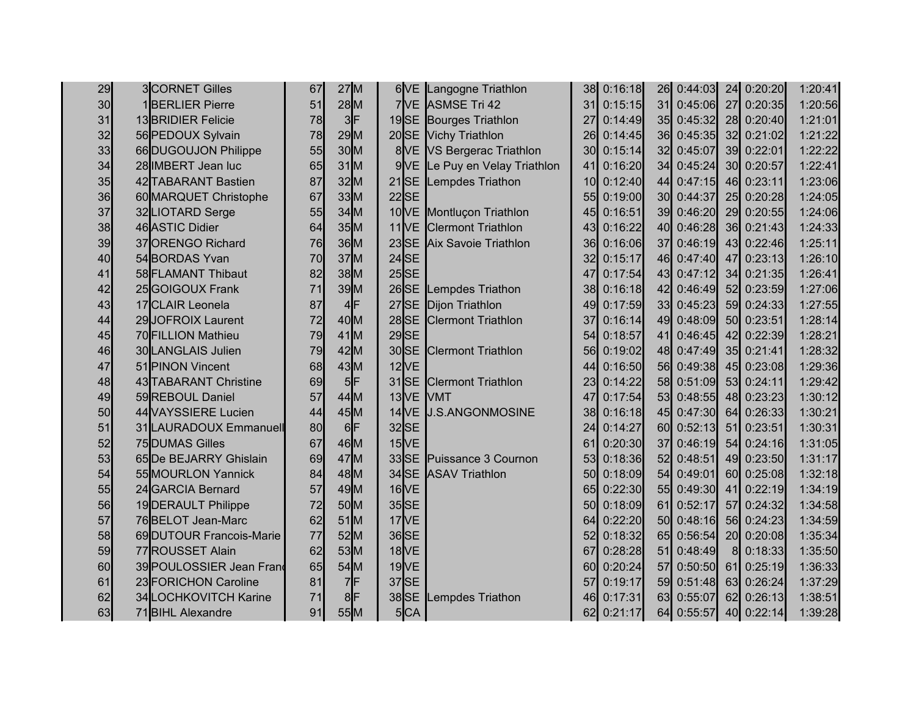| 29 | 3CORNET Gilles           | 67              | 27M     |                      | 6 VE Langogne Triathlon       | 38 <sub>l</sub> | 0:16:18    | 26              | 0:44:03    |             | 24 0:20:20 | 1:20:41 |
|----|--------------------------|-----------------|---------|----------------------|-------------------------------|-----------------|------------|-----------------|------------|-------------|------------|---------|
| 30 | 1 <b>BERLIER Pierre</b>  | 51              | 28M     |                      | 7VE ASMSE Tri 42              | 31I             | 0:15:15    | 31              | 0:45:06    |             | 27 0:20:35 | 1:20:56 |
| 31 | 13 BRIDIER Felicie       | 78              | $3$ F   |                      | 19SE Bourges Triathlon        | 27              | 0:14:49    | 35              | 0:45:32    |             | 28 0:20:40 | 1:21:01 |
| 32 | 56 PEDOUX Sylvain        | 78              | 29M     |                      | 20SE Vichy Triathlon          | <b>26</b>       | 0:14:45    | 36              | 0:45:35    |             | 32 0:21:02 | 1:21:22 |
| 33 | 66 DUGOUJON Philippe     | 55              | 30M     |                      | 8 VE VS Bergerac Triathlon    | 30 <sup>l</sup> | 0:15:14    | 32 <sub>l</sub> | 0:45:07    |             | 39 0:22:01 | 1:22:22 |
| 34 | 28 IMBERT Jean luc       | 65              | $31$ M  |                      | 9VE Le Puy en Velay Triathlon | 41              | 0:16:20    | 34              | 0:45:24    |             | 30 0:20:57 | 1:22:41 |
| 35 | 42 TABARANT Bastien      | 87              | 32M     |                      | 21SE Lempdes Triathon         | 10 <sup>1</sup> | 0:12:40    | 44              | 0:47:15    |             | 46 0:23:11 | 1:23:06 |
| 36 | 60 MARQUET Christophe    | 67              | 33M     | $22$ SE              |                               | 55              | 0:19:00    | 30 <sup>l</sup> | 0:44:37    |             | 25 0:20:28 | 1:24:05 |
| 37 | 32LIOTARD Serge          | 55              | $34$ M  |                      | 10 VE Montluçon Triathlon     | 45              | 0:16:51    | 39              | 0:46:20    |             | 29 0:20:55 | 1:24:06 |
| 38 | 46 ASTIC Didier          | 64              | 35M     |                      | 11 VE Clermont Triathlon      | 43              | 0:16:22    | 40              | 0:46:28    |             | 36 0:21:43 | 1:24:33 |
| 39 | 37ORENGO Richard         | 76              | $36$ M  |                      | 23SE Aix Savoie Triathlon     | <b>36</b>       | 0:16:06    | 37              | 0:46:19    |             | 43 0:22:46 | 1:25:11 |
| 40 | 54BORDAS Yvan            | 70              | 37M     | $24$ SE              |                               | 32 <sub>l</sub> | 0:15:17    | 46              | 0:47:40    |             | 47 0:23:13 | 1:26:10 |
| 41 | 58 FLAMANT Thibaut       | 82              | $38$ M  | $25$ SE              |                               | 47              | 0:17:54    | 43              | 0:47:12    |             | 34 0:21:35 | 1:26:41 |
| 42 | 25GOIGOUX Frank          | 71              | 39M     |                      | 26SE Lempdes Triathon         | 38 <sup>l</sup> | 0:16:18    | 42              | 0:46:49    |             | 52 0:23:59 | 1:27:06 |
| 43 | 17 CLAIR Leonela         | 87              | $4$ F   | $27$ SE              | Dijon Triathlon               | 49              | 0:17:59    | 33 <sup>1</sup> | 0:45:23    |             | 59 0:24:33 | 1:27:55 |
| 44 | 29JOFROIX Laurent        | 72              | 40M     | $28$ SE              | <b>Clermont Triathlon</b>     | 37              | 0:16:14    |                 | 49 0:48:09 |             | 50 0:23:51 | 1:28:14 |
| 45 | 70 FILLION Mathieu       | 79              | $41$ M  | $29$ SE              |                               | 54              | 0:18:57    | 41              | 0:46:45    |             | 42 0:22:39 | 1:28:21 |
| 46 | 30 LANGLAIS Julien       | 79              | 42M     |                      | 30SE Clermont Triathlon       | 56              | 0:19:02    | 48              | 0:47:49    |             | 35 0:21:41 | 1:28:32 |
| 47 | 51 PINON Vincent         | 68              | $43$ M  | $12$ <sup>VE</sup>   |                               | 44              | 0:16:50    | <b>56</b>       | 0:49:38    |             | 45 0:23:08 | 1:29:36 |
| 48 | 43 TABARANT Christine    | 69              | $5$ F   |                      | 31SE Clermont Triathlon       | 23 <sub>l</sub> | 0:14:22    | 58              | 0:51:09    |             | 53 0:24:11 | 1:29:42 |
| 49 | 59 REBOUL Daniel         | 57              | 44M     | 13 <sub>NE</sub> MMT |                               | 47              | 0:17:54    | 53              | 0:48:55    |             | 48 0:23:23 | 1:30:12 |
| 50 | 44 VAYSSIERE Lucien      | 44              | 45M     |                      | 14 VE J.S.ANGONMOSINE         | 38 <sup>l</sup> | 0:16:18    | 45              | 0:47:30    |             | 64 0:26:33 | 1:30:21 |
| 51 | 31 LAURADOUX Emmanuell   | 80 <sub>l</sub> | $6$ F   | 32SE                 |                               | 24              | 0:14:27    | 60              | 0:52:13    |             | 51 0:23:51 | 1:30:31 |
| 52 | 75 DUMAS Gilles          | 67              | 46M     | $15$ <sup>VE</sup>   |                               | 61              | 0:20:30    | 37              | 0:46:19    |             | 54 0:24:16 | 1:31:05 |
| 53 | 65De BEJARRY Ghislain    | 69              | 47M     | 33SE                 | Puissance 3 Cournon           | 53              | 0:18:36    | 52              | 0:48:51    | 49          | 0:23:50    | 1:31:17 |
| 54 | 55 MOURLON Yannick       | 84              | $48$ M  |                      | 34SE ASAV Triathlon           | 501             | 0:18:09    | 54              | 0:49:01    | 60 <b>I</b> | 0:25:08    | 1:32:18 |
| 55 | 24 GARCIA Bernard        | 57              | 49M     | $16$ <sup>VE</sup>   |                               | 65              | 0:22:30    | 55              | 0:49:30    | 41          | 0:22:19    | 1:34:19 |
| 56 | 19 DERAULT Philippe      | 72              | 50M     | $35$ SE              |                               | 50              | 0:18:09    | 61              | 0:52:17    |             | 57 0:24:32 | 1:34:58 |
| 57 | 76BELOT Jean-Marc        | 62              | $51$ M  | $17$ <sup>VE</sup>   |                               | 64I             | 0:22:20    | <b>50</b>       | 0:48:16    |             | 56 0:24:23 | 1:34:59 |
| 58 | 69 DUTOUR Francois-Marie | 77              | 52M     | 36SE                 |                               | 52 <sub>l</sub> | 0:18:32    | 65I             | 0:56:54    |             | 20 0:20:08 | 1:35:34 |
| 59 | 77ROUSSET Alain          | 62              | 53M     | $18$ <sup>VE</sup>   |                               | 67I             | 0:28:28    | 51              | 0:48:49    |             | 8 0:18:33  | 1:35:50 |
| 60 | 39 POULOSSIER Jean Franc | 65              | 54M     | $19$ <sup>VE</sup>   |                               | 60I             | 0:20:24    | 57              | 0:50:50    |             | 61 0:25:19 | 1:36:33 |
| 61 | 23 FORICHON Caroline     | 81              | $7$ $F$ | 37SE                 |                               |                 | 0:19:17    | 59              | 0:51:48    |             | 63 0:26:24 | 1:37:29 |
| 62 | 34 LOCHKOVITCH Karine    | 71              | 8F      | 38SE                 | Lempdes Triathon              | 46I             | 0:17:31    | 63I             | 0:55:07    |             | 62 0:26:13 | 1:38:51 |
| 63 | 71 BIHL Alexandre        | 91              | $55$ M  | 5CA                  |                               |                 | 62 0:21:17 |                 | 64 0:55:57 |             | 40 0:22:14 | 1:39:28 |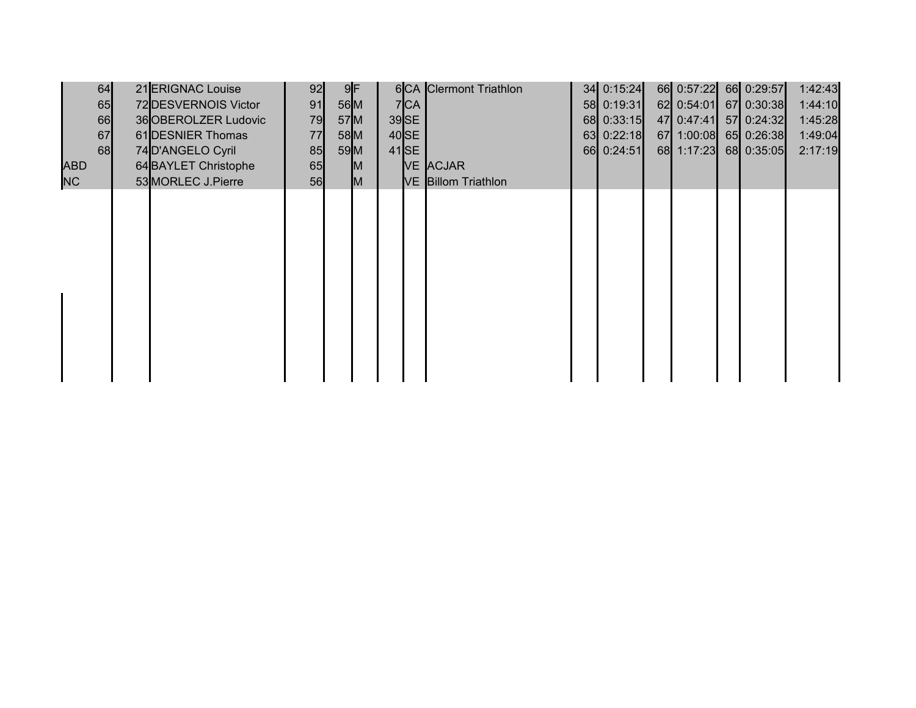|            | 64 | 21 ERIGNAC Louise    | 92 |        | $9$ F |         | 6CA Clermont Triathlon | 34 0:15:24   | 66 0:57:22 66 0:29:57 |            | 1:42:43 |
|------------|----|----------------------|----|--------|-------|---------|------------------------|--------------|-----------------------|------------|---------|
|            | 65 | 72 DESVERNOIS Victor | 91 |        | 56M   | 7 CA    |                        | 58 0:19:31   | 62 0:54:01            | 67 0:30:38 | 1:44:10 |
|            | 66 | 36 OBEROLZER Ludovic | 79 |        | 57M   | $39$ SE |                        | 68 0:33:15   | 47 0:47:41            | 57 0:24:32 | 1:45:28 |
|            | 67 | 61 DESNIER Thomas    | 77 | $58$ M |       | $40$ SE |                        | $63$ 0:22:18 | 67 1:00:08 65 0:26:38 |            | 1:49:04 |
|            | 68 | 74 D'ANGELO Cyril    | 85 |        | 59M   | $41$ SE |                        | 66 0:24:51   | 68 1:17:23            | 68 0:35:05 | 2:17:19 |
| <b>ABD</b> |    | 64 BAYLET Christophe | 65 |        | M     |         | VE ACJAR               |              |                       |            |         |
| NC         |    | 53 MORLEC J. Pierre  | 56 |        | M     |         | VE Billom Triathlon    |              |                       |            |         |
|            |    |                      |    |        |       |         |                        |              |                       |            |         |
|            |    |                      |    |        |       |         |                        |              |                       |            |         |
|            |    |                      |    |        |       |         |                        |              |                       |            |         |
|            |    |                      |    |        |       |         |                        |              |                       |            |         |
|            |    |                      |    |        |       |         |                        |              |                       |            |         |
|            |    |                      |    |        |       |         |                        |              |                       |            |         |
|            |    |                      |    |        |       |         |                        |              |                       |            |         |
|            |    |                      |    |        |       |         |                        |              |                       |            |         |
|            |    |                      |    |        |       |         |                        |              |                       |            |         |
|            |    |                      |    |        |       |         |                        |              |                       |            |         |
|            |    |                      |    |        |       |         |                        |              |                       |            |         |
|            |    |                      |    |        |       |         |                        |              |                       |            |         |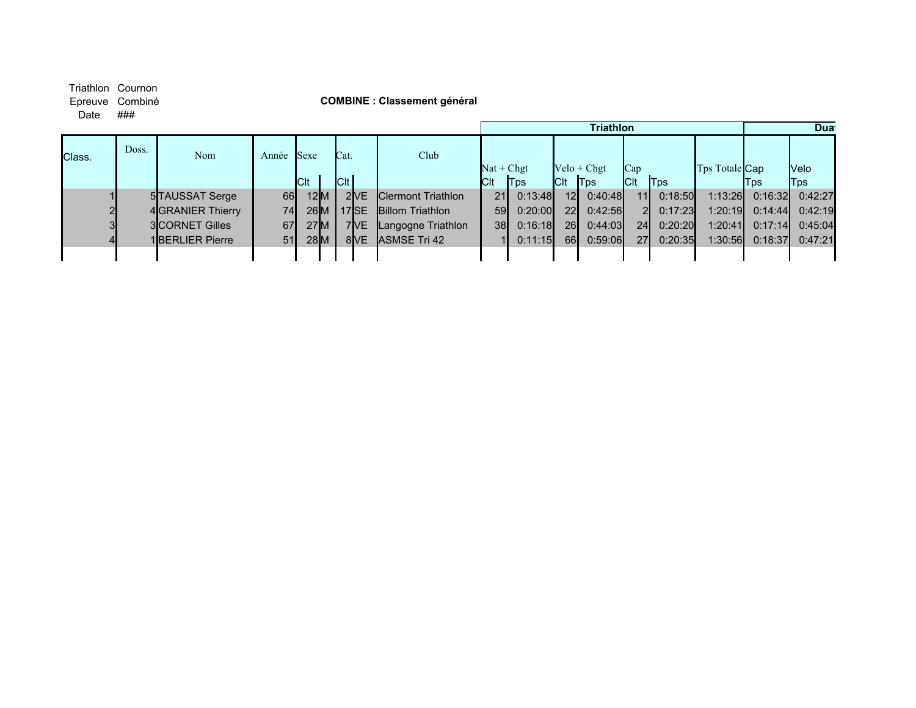## Triathlon Cournon<br>Epreuve Combiné

Date ###

#### Epreuve Combiné **COMBINE : Classement général**

|        |       |                        |       |             |               |                   |                             |                 |              |                 | <b>Triathlon</b> |                 |         |                       |            | <b>Dua</b> |
|--------|-------|------------------------|-------|-------------|---------------|-------------------|-----------------------------|-----------------|--------------|-----------------|------------------|-----------------|---------|-----------------------|------------|------------|
| Class. | Doss. | Nom                    | Année | Sexe        |               | Cat.              | Club                        |                 |              |                 |                  |                 |         |                       |            |            |
|        |       |                        |       |             |               |                   |                             |                 | $Nat + Chgt$ |                 | $Velo + Chgt$    | Cap             |         | Tps Totale <b>Cap</b> |            | Velo       |
|        |       |                        |       | <b>ICIt</b> |               | C t               |                             | Clt             | <b>T</b> ps  | $ $ Clt         | <b>T</b> ps      | <b>C</b> It     | Tps     |                       | <b>Tps</b> | Tps        |
|        |       | 5TAUSSAT Serge         | 66    |             | 12 <b>I</b> M | 2 <sub>IVE</sub>  | <b>I</b> Clermont Triathlon | 21              | 0:13:48      | 12              | 0:40:48          | 11 <sup>1</sup> | 0:18:50 | 1:13:26               | 0:16:32    | 0:42:27    |
|        |       | 4 GRANIER Thierry      | 74    |             | 26M           | 17 <sub>ISE</sub> | <b>Billom Triathlon</b>     | 59              | 0:20:00      | 22 <sup>1</sup> | 0:42:56          | $2\mathsf{I}$   | 0:17:23 | 1:20:19               | 0:14:44    | 0:42:19    |
|        |       | <b>3ICORNET Gilles</b> | 67    |             | 27M           | 7IVE              | Langogne Triathlon          | 38 <sub>l</sub> | 0:16:18      | 26I             | 0:44:03          | 24              | 0:20:20 | 1:20:41               | 0:17:14    | 0:45:04    |
|        |       | <b>1BERLIER Pierre</b> | 51    |             | 28M           | 8IVE              | <b>IASMSE Tri 42</b>        |                 | 0:11:15      | <b>66</b>       | 0:59:06          | <b>27</b>       | 0:20:35 | 1:30:56               | 0:18:37    | 0:47:21    |
|        |       |                        |       |             |               |                   |                             |                 |              |                 |                  |                 |         |                       |            |            |